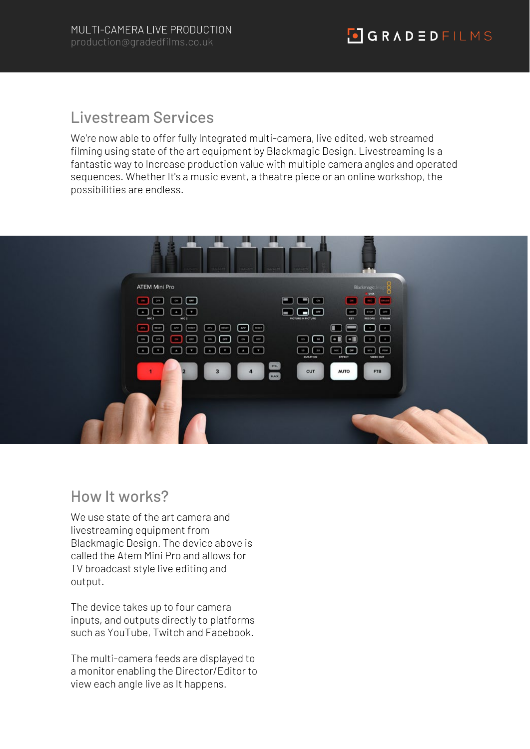## Livestream Services

We're now able to offer fully Integrated multi-camera, live edited, web streamed filming using state of the art equipment by Blackmagic Design. Livestreaming Is a fantastic way to Increase production value with multiple camera angles and operated sequences. Whether It's a music event, a theatre piece or an online workshop, the possibilities are endless.



#### How It works?

We use state of the art camera and livestreaming equipment from Blackmagic Design. The device above is called the Atem Mini Pro and allows for TV broadcast style live editing and output.

The device takes up to four camera inputs, and outputs directly to platforms such as YouTube, Twitch and Facebook.

The multi-camera feeds are displayed to a monitor enabling the Director/Editor to view each angle live as It happens.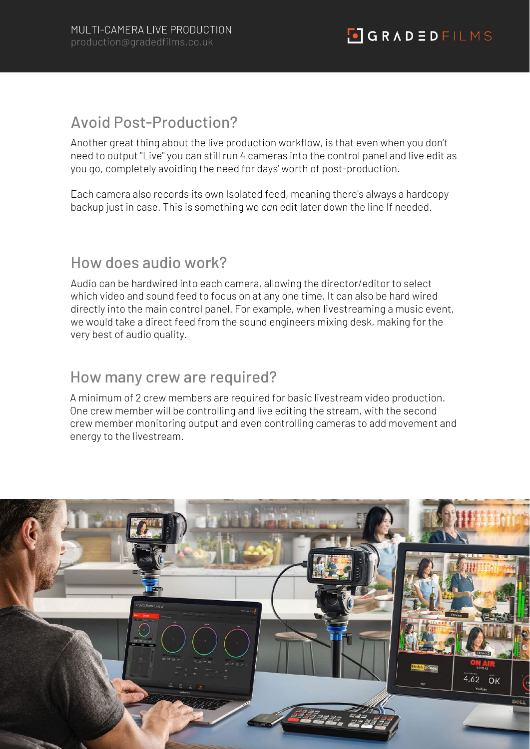#### Avoid Post-Production?

Another great thing about the live production workflow, is that even when you don't need to output "Live" you can still run 4 cameras into the control panel and live edit as you go, completely avoiding the need for days' worth of post-production.

Each camera also records its own Isolated feed, meaning there's always a hardcopy backup just in case. This is something we *can* edit later down the line If needed.

## How does audio work?

Audio can be hardwired into each camera, allowing the director/editor to select which video and sound feed to focus on at any one time. It can also be hard wired directly into the main control panel. For example, when livestreaming a music event, we would take a direct feed from the sound engineers mixing desk, making for the very best of audio quality.

#### How many crew are required?

A minimum of 2 crew members are required for basic livestream video production. One crew member will be controlling and live editing the stream, with the second crew member monitoring output and even controlling cameras to add movement and energy to the livestream.

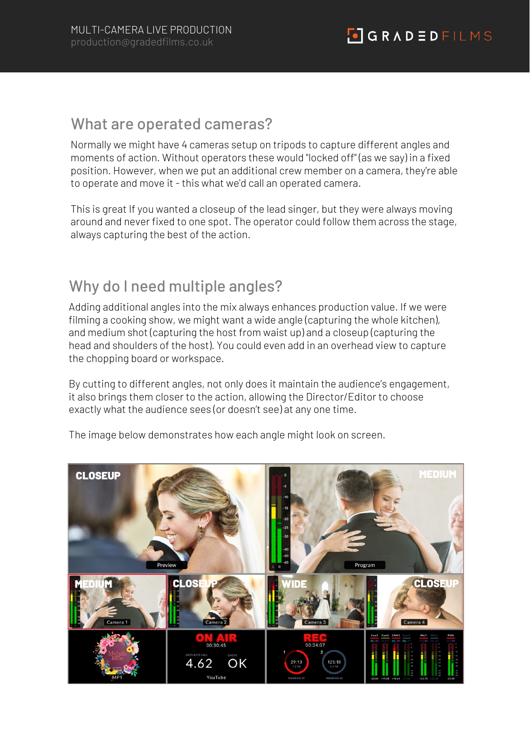#### What are operated cameras?

Normally we might have 4 cameras setup on tripods to capture different angles and moments of action. Without operators these would "locked off" (as we say) in a fixed position. However, when we put an additional crew member on a camera, they're able to operate and move it - this what we'd call an operated camera.

This is great If you wanted a closeup of the lead singer, but they were always moving around and never fixed to one spot. The operator could follow them across the stage, always capturing the best of the action.

## Why do I need multiple angles?

Adding additional angles into the mix always enhances production value. If we were filming a cooking show, we might want a wide angle (capturing the whole kitchen), and medium shot (capturing the host from waist up) and a closeup (capturing the head and shoulders of the host). You could even add in an overhead view to capture the chopping board or workspace.

By cutting to different angles, not only does it maintain the audience's engagement, it also brings them closer to the action, allowing the Director/Editor to choose exactly what the audience sees (or doesn't see) at any one time.

The image below demonstrates how each angle might look on screen.

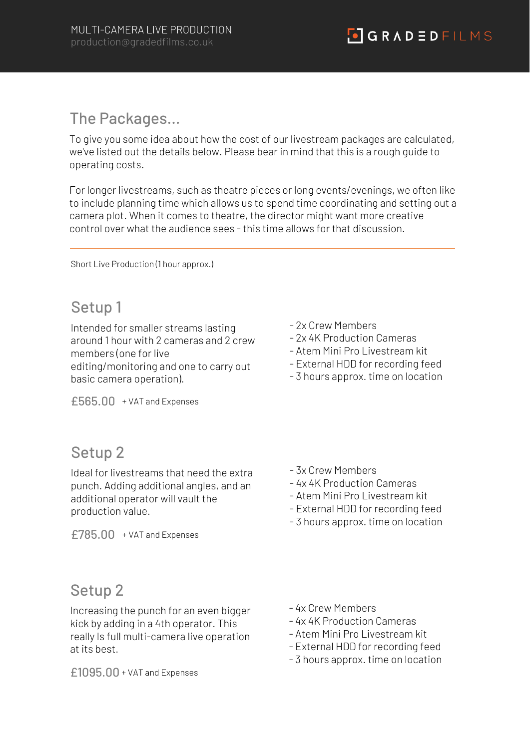#### The Packages…

To give you some idea about how the cost of our livestream packages are calculated, we've listed out the details below. Please bear in mind that this is a rough guide to operating costs.

For longer livestreams, such as theatre pieces or long events/evenings, we often like to include planning time which allows us to spend time coordinating and setting out a camera plot. When it comes to theatre, the director might want more creative control over what the audience sees - this time allows for that discussion.

Short Live Production (1 hour approx.)

## Setup 1

Intended for smaller streams lasting around 1 hour with 2 cameras and 2 crew members (one for live editing/monitoring and one to carry out basic camera operation).

£565.00 + VAT and Expenses

## Setup 2

Ideal for livestreams that need the extra punch. Adding additional angles, and an additional operator will vault the production value.

£785.00 + VAT and Expenses

- 2x Crew Members
- 2x 4K Production Cameras
- Atem Mini Pro Livestream kit
- External HDD for recording feed
- 3 hours approx. time on location

- 3x Crew Members
- 4x 4K Production Cameras
- Atem Mini Pro Livestream kit
- External HDD for recording feed
- 3 hours approx. time on location

## Setup 2

Increasing the punch for an even bigger kick by adding in a 4th operator. This really Is full multi-camera live operation at its best.

- 4x Crew Members

- 4x 4K Production Cameras
- Atem Mini Pro Livestream kit
- External HDD for recording feed
- 3 hours approx. time on location

£1095.00 + VAT and Expenses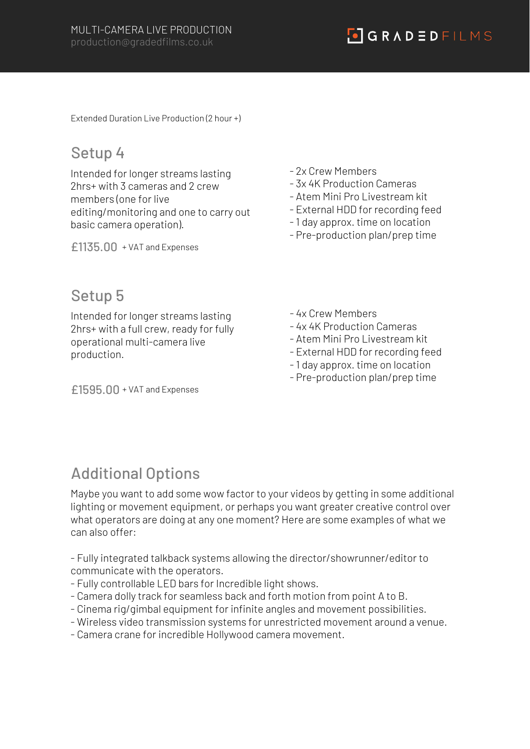$\begin{array}{|c|c|c|c|c|}\hline \textbf{0} & \textbf{G} & \textbf{R} & \textbf{A} & \textbf{D} & \textbf{B} & \textbf{P} & \textbf{I} & \textbf{L} & \textbf{M} & \textbf{S}\hline \end{array}$ 

Extended Duration Live Production (2 hour +)

### Setup 4

Intended for longer streams lasting 2hrs+ with 3 cameras and 2 crew members (one for live editing/monitoring and one to carry out basic camera operation).

£1135.00 + VAT and Expenses

#### - 2x Crew Members

- 3x 4K Production Cameras
- Atem Mini Pro Livestream kit
- External HDD for recording feed
- 1 day approx. time on location
- Pre-production plan/prep time

### Setup 5

Intended for longer streams lasting 2hrs+ with a full crew, ready for fully operational multi-camera live production.

£1595.00 + VAT and Expenses

- 4x Crew Members
- 4x 4K Production Cameras
- Atem Mini Pro Livestream kit
- External HDD for recording feed
- 1 day approx. time on location
- Pre-production plan/prep time

# Additional Options

Maybe you want to add some wow factor to your videos by getting in some additional lighting or movement equipment, or perhaps you want greater creative control over what operators are doing at any one moment? Here are some examples of what we can also offer:

- Fully integrated talkback systems allowing the director/showrunner/editor to communicate with the operators.

- Fully controllable LED bars for Incredible light shows.
- Camera dolly track for seamless back and forth motion from point A to B.
- Cinema rig/gimbal equipment for infinite angles and movement possibilities.
- Wireless video transmission systems for unrestricted movement around a venue.
- Camera crane for incredible Hollywood camera movement.